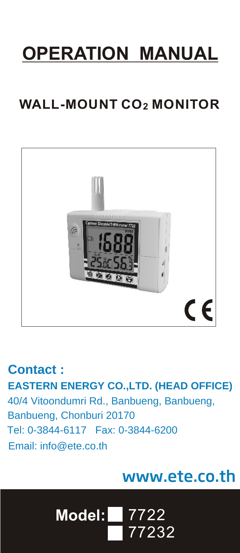# **OPERATION MANUAL**

# **WALL-MOUNT CO2 MONITOR**



**EASTERN ENERGY CO.,LTD. (HEAD OFFICE)** 40/4 Vitoondumri Rd., Banbueng, Banbueng, **Contact :** Tel: 0-3844-6117 Fax: 0-3844-6200 Email: info@ete.co.th Banbueng, Chonburi 20170

# www.ete.co.th

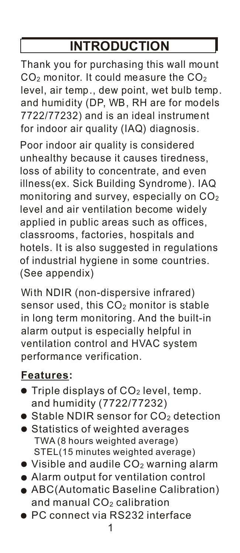# **INTRODUCTION**

Thank you for purchasing this wall mount  $CO<sub>2</sub>$  monitor. It could measure the  $CO<sub>2</sub>$ level, air temp., dew point, wet bulb temp. and humidity (DP, WB, RH are for models 7722/77232) and is an ideal instrument for indoor air quality (IAQ) diagnosis.

Poor indoor air quality is considered unhealthy because it causes tiredness, loss of ability to concentrate, and even illness(ex. Sick Building Syndrome). IAQ monitoring and survey, especially on  $CO<sub>2</sub>$ level and air ventilation become widely applied in public areas such as offices, classrooms, factories, hospitals and hotels. It is also suggested in regulations of industrial hygiene in some countries. (See appendix)

With NDIR (non-dispersive infrared) sensor used, this  $CO<sub>2</sub>$  monitor is stable in long term monitoring. And the built-in alarm output is especially helpful in ventilation control and HVAC system performance verification.

#### **Features:**

- Triple displays of  $CO<sub>2</sub>$  level, temp. and humidity (7722/77232)
- $\bullet$  Stable NDIR sensor for CO<sub>2</sub> detection
- s Statistics of weighted average TWA (8 hours weighted average) STEL(15 minutes weighted average)
- $\bullet$  Visible and audile CO<sub>2</sub> warning alarm
- Alarm output for ventilation control
- and manual CO $_2$  calibration ABC(Automatic Baseline Calibration)
- PC connect via RS232 interface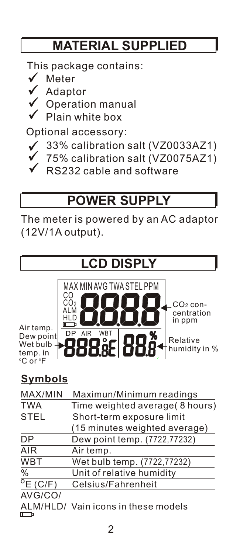# **MATERIAL SUPPLIED**

This package contains:

- $\sqrt{\phantom{a}}$  Meter
- Adaptor
	- Operation manual
		- Plain white box

Optional accessory:

- 33% calibration salt (VZ0033AZ1)
- 75% calibration salt (VZ0075AZ1)
- RS232 cable and software

# **POWER SUPPLY**

The meter is powered by an AC adaptor (12V/1A output).



### **Symbols**

| MAX/MIN            | Maximun/Minimum readings       |  |  |
|--------------------|--------------------------------|--|--|
| <b>TWA</b>         | Time weighted average(8 hours) |  |  |
| <b>STEL</b>        | Short-term exposure limit      |  |  |
|                    | (15 minutes weighted average)  |  |  |
| DP                 | Dew point temp. (7722,77232)   |  |  |
| AIR                | Air temp.                      |  |  |
| <b>WBT</b>         | Wet bulb temp. (7722,77232)    |  |  |
| $\frac{0}{0}$      | Unit of relative humidity      |  |  |
| $^{\circ}$ E (C/F) | Celsius/Fahrenheit             |  |  |
| AVG/CO/            |                                |  |  |
| ALM/HLD/           | Vain icons in these models     |  |  |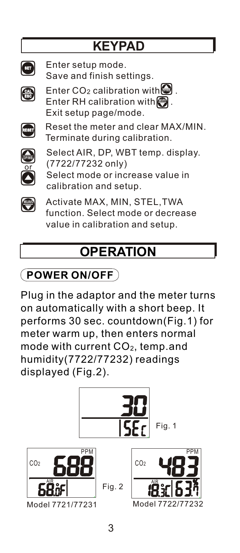# **KEYPAD**



Enter setup mode. Save and finish settings.



Enter CO<sub>2</sub> calibration with **Enter RH calibration with**  $\Box$ **.** Exit setup page/mode.



Reset the meter and clear MAX/MIN. Terminate during calibration.



Select AIR, DP, WBT temp. display. (7722/77232 only) Select mode or increase value in calibration and setup.



Activate MAX, MIN, STEL,TWA function. Select mode or decrease value in calibration and setup.

# **OPERATION**

# **POWER ON/OFF**

Plug in the adaptor and the meter turns on automatically with a short beep. It performs 30 sec. countdown(Fig.1) for meter warm up, then enters normal mode with current CO<sub>2</sub>, temp.and humidity(7722/77232) readings displayed (Fig.2).

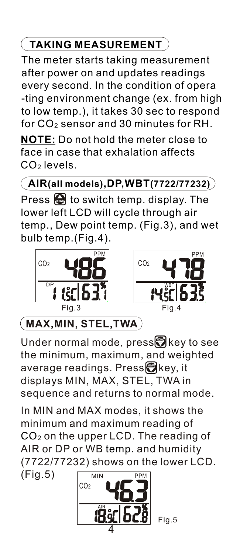## **TAKING MEASUREMENT**

The meter starts taking measurement after power on and updates readings every second. In the condition of opera -ting environment change (ex. from high to low temp.), it takes 30 sec to respond for  $CO<sub>2</sub>$  sensor and 30 minutes for RH.

**NOTE:** Do not hold the meter close to face in case that exhalation affects CO2 levels.

**AIR(all models),DP,WBT(7722/77232)**

**Press**  $\bigcirc$  **to switch temp. display. The** lower left LCD will cycle through air temp., Dew point temp. (Fig.3), and wet bulb temp.(Fig.4).





# **MAX,MIN, STEL,TWA**

**Under normal mode, presstri**key to see the minimum, maximum, and weighted **a**verage readings. Press $\bigcirc$  key, it displays MIN, MAX, STEL, TWA in sequence and returns to normal mode.

In MIN and MAX modes, it shows the minimum and maximum reading of  $CO<sub>2</sub>$  on the upper LCD. The reading of AIR or DP or WB temp. and humidity (7722/77232) shows on the lower LCD.

(Fig.5)



Fig.5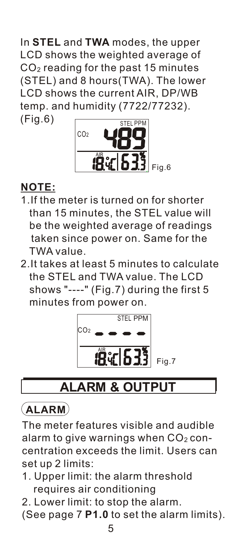In **STEL** and **TWA** modes, the upper LCD shows the weighted average of (STEL) and 8 hours(TWA). The lower  $CO<sub>2</sub>$  reading for the past 15 minutes LCD shows the current AIR, DP/WB temp. and humidity (7722/77232). (Fig.6)



#### **NOTE:**

- 1.If the meter is turned on for shorter than 15 minutes, the STEL value will be the weighted average of readings taken since power on. Same for the TWA value.
- 2.It takes at least 5 minutes to calculate the STEL and TWA value. The LCD shows "----" (Fig.7) during the first 5 minutes from power on.



# **ALARM & OUTPUT**

### **ALARM**

The meter features visible and audible alarm to give warnings when  $CO<sub>2</sub>$  concentration exceeds the limit. Users can set up 2 limits:

- 1. Upper limit: the alarm threshold requires air conditioning
- 2. Lower limit: to stop the alarm.
- (See page 7 **P1.0** to set the alarm limits).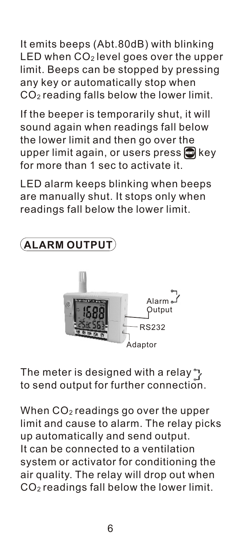It emits beeps (Abt.80dB) with blinking LED when CO<sub>2</sub> level goes over the upper limit. Beeps can be stopped by pressing any key or automatically stop when CO<sup>2</sup> reading falls below the lower limit.

If the beeper is temporarily shut, it will sound again when readings fall below the lower limit and then go over the upper limit again, or users press **a** key for more than 1 sec to activate it.

LED alarm keeps blinking when beeps are manually shut. It stops only when readings fall below the lower limit.

# **ALARM OUTPUT** Alarm Output RS232 daptor

The meter is designed with a relay  $\gamma$ to send output for further connection.

When CO<sub>2</sub> readings go over the upper limit and cause to alarm. The relay picks up automatically and send output. It can be connected to a ventilation system or activator for conditioning the air quality. The relay will drop out when CO<sup>2</sup> readings fall below the lower limit.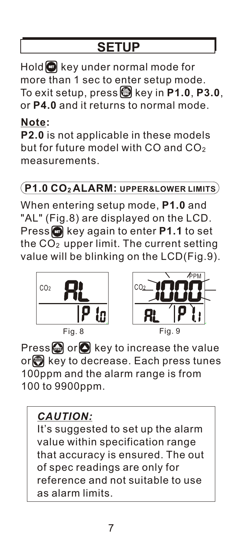# **SETUP**

**SET** Hold key under normal mode for **CAL ESC** To exit setup, press key in **P1.0**, **P3.0**, more than 1 sec to enter setup mode. or **P4.0** and it returns to normal mode.

#### **Note:**

**P2.0** is not applicable in these models but for future model with CO and  $CO<sub>2</sub>$ measurements.

#### **P1.0 CO<sup>2</sup> ALARM: UPPER&LOWER LIMITS**

**SET** Press key again to enter **P1.1** to set When entering setup mode, **P1.0** and "AL" (Fig.8) are displayed on the LCD. the  $CO<sub>2</sub>$  upper limit. The current setting value will be blinking on the LCD(Fig.9).



Fig. 8



**Press or C** key to increase the value **M / <sup>X</sup> N AVG** or key to decrease. Each press tunes 100ppm and the alarm range is from 100 to 9900ppm.

### *CAUTION:*

It's suggested to set up the alarm value within specification range that accuracy is ensured. The out of spec readings are only for reference and not suitable to use as alarm limits.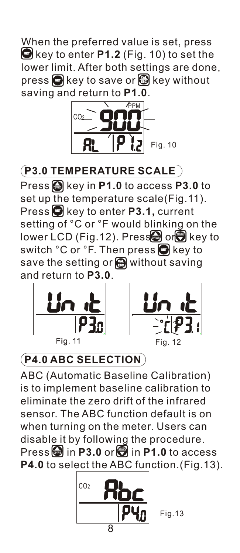**SET** key to enter **P1.2** (Fig. 10) to set the **SEC** key to save or **G** key without When the preferred value is set, press lower limit. After both settings are done, saving and return to **P1.0**.



**P3.0 TEMPERATURE SCALE**

**Press**  $\bigcirc$  key in **P1.0** to access **P3.0** to set up the temperature scale(Fig.11). **Press**  $\bullet$  key to enter **P3.1,** current setting of °C or °F would blinking on the lower LCD (Fig.12). Press or a key to switch °C or °F. Then press **@** key to save the setting or **@** without saving and return to **P3.0**.





### **P4.0 ABC SELECTION**

ABC (Automatic Baseline Calibration) is to implement baseline calibration to eliminate the zero drift of the infrared sensor. The ABC function default is on when turning on the meter. Users can disable it by following the procedure. **Press** in **P3.0** or **D** in **P1.0** to access **P4.0** to select the ABC function.(Fig.13).



Fig.13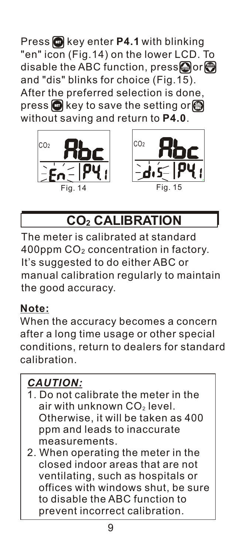**Press C** key enter **P4.1** with blinking "en" icon (Fig.14) on the lower LCD. To  $\blacksquare$  and the ABC function, press $\blacksquare$  or  $\blacksquare$ and "dis" blinks for choice (Fig.15). After the preferred selection is done, **p**ress  $\textcolor{red}{\textcircled{\tiny{\textsf{st}}}}$  key to save the setting or  $\textcolor{red}{\textcircled{\tiny{\textsf{st}}}}$ without saving and return to **P4.0**.





# **CO2 CALIBRATION**

The meter is calibrated at standard 400ppm CO<sub>2</sub> concentration in factory. It's suggested to do either ABC or manual calibration regularly to maintain the good accuracy.

#### **Note:**

When the accuracy becomes a concern after a long time usage or other special conditions, return to dealers for standard calibration.

### *CAUTION:*

- 1. Do not calibrate the meter in the air with unknown CO<sub>2</sub> level. Otherwise, it will be taken as 400 ppm and leads to inaccurate measurements.
- 2. When operating the meter in the closed indoor areas that are not ventilating, such as hospitals or offices with windows shut, be sure to disable the ABC function to prevent incorrect calibration.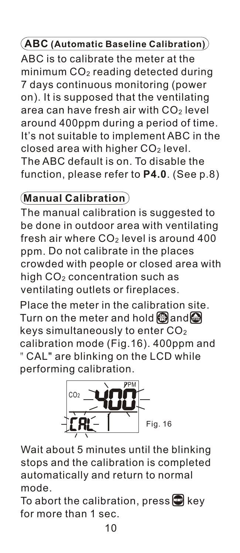#### **ABC (Automatic Baseline Calibration)**

ABC is to calibrate the meter at the minimum  $CO<sub>2</sub>$  reading detected during 7 days continuous monitoring (power on). It is supposed that the ventilating area can have fresh air with  $CO<sub>2</sub>$  level around 400ppm during a period of time. It's not suitable to implement ABC in the closed area with higher CO<sup>2</sup> level. The ABC default is on. To disable the function, please refer to **P4.0**. (See p.8)

### **Manual Calibration**

fresh air where  $CO<sub>2</sub>$  level is around 400 ppm. Do not calibrate in the places high CO2 concentration such as The manual calibration is suggested to be done in outdoor area with ventilating crowded with people or closed area with ventilating outlets or fireplaces.

Place the meter in the calibration site.  $\Gamma$ urn on the meter and hold  $\bigcirc$  and  $\bigcirc$ keys simultaneously to enter  $CO<sub>2</sub>$ calibration mode (Fig.16). 400ppm and "CAL" are blinking on the LCD while performing calibration.



Wait about 5 minutes until the blinking stops and the calibration is completed automatically and return to normal mode.

To abort the calibration, press **b** key for more than 1 sec.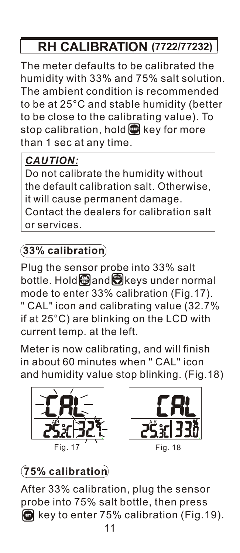# **RH CALIBRATION (7722/77232)**

The meter defaults to be calibrated the humidity with 33% and 75% salt solution. The ambient condition is recommended to be at 25°C and stable humidity (better to be close to the calibrating value). To stop calibration, hold **b** key for more than 1 sec at any time.

### *CAUTION:*

Do not calibrate the humidity without the default calibration salt. Otherwise, it will cause permanent damage. Contact the dealers for calibration salt or services.

### **33% calibration**

Plug the sensor probe into 33% salt  $\blacksquare$   $\blacksquare$   $\blacksquare$   $\blacksquare$   $\blacksquare$   $\blacksquare$   $\blacksquare$   $\blacksquare$   $\blacksquare$   $\blacksquare$   $\blacksquare$   $\blacksquare$   $\blacksquare$   $\blacksquare$   $\blacksquare$   $\blacksquare$   $\blacksquare$   $\blacksquare$   $\blacksquare$   $\blacksquare$   $\blacksquare$   $\blacksquare$   $\blacksquare$   $\blacksquare$   $\blacksquare$   $\blacksquare$   $\blacksquare$   $\blacksquare$   $\blacksquare$   $\blacksquare$   $\blacksquare$   $\blacksquare$ mode to enter 33% calibration (Fig.17). " CAL" icon and calibrating value (32.7% if at 25°C) are blinking on the LCD with current temp. at the left.

Meter is now calibrating, and will finish in about 60 minutes when " CAL" icon and humidity value stop blinking. (Fig.18)





Fig. 18

### **75% calibration**

11 After 33% calibration, plug the sensor probe into 75% salt bottle, then press **G** key to enter 75% calibration (Fig.19).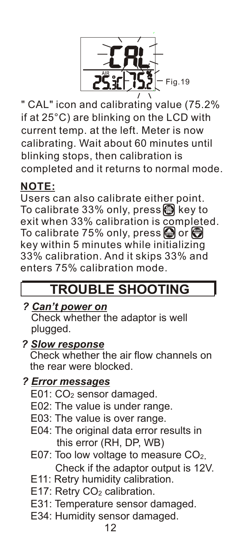

" CAL" icon and calibrating value (75.2% if at 25°C) are blinking on the LCD with current temp. at the left. Meter is now calibrating. Wait about 60 minutes until blinking stops, then calibration is completed and it returns to normal mode.

#### **NOTE:**

Users can also calibrate either point. **T**o calibrate 33% only, press  $\bigcirc$  key to exit when 33% calibration is completed.  $\Gamma$ o calibrate 75% only, press  $\bigcirc$  or  $\bigcirc$ key within 5 minutes while initializing 33% calibration. And it skips 33% and enters 75% calibration mode.

### **TROUBLE SHOOTING**

*? Can't power on* Check whether the adaptor is well plugged.

#### *? Slow response*

 Check whether the air flow channels on the rear were blocked.

#### *? Error messages*

- E01: CO<sub>2</sub> sensor damaged.
- E02: The value is under range.
- E03: The value is over range.
- E04: The original data error results in this error (RH, DP, WB)
- E07: Too low voltage to measure CO<sub>2</sub>. Check if the adaptor output is 12V.
- E11: Retry humidity calibration.
- E17: Retry CO<sub>2</sub> calibration.
- E31: Temperature sensor damaged.
- E34: Humidity sensor damaged.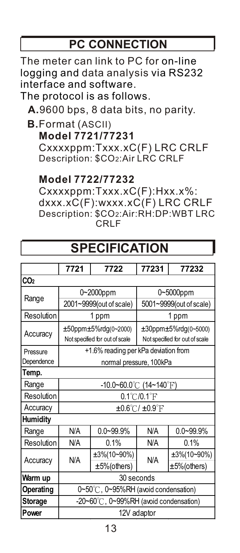### **PC CONNECTION**

The meter can link to PC for on-line logging and data analysis via RS232 interface and software.

The protocol is as follows.

**A.**9600 bps, 8 data bits, no parity.

**B.**Format (ASCII)

**Model 7721/77231**

 Cxxxxppm:Txxx.xC(F) LRC CRLF Description: \$CO2:Air LRC CRLF

#### **Model 7722/77232**

 Cxxxxppm:Txxx.xC(F):Hxx.x%: dxxx.xC(F):wxxx.xC(F) LRC CRLF Description: \$CO2:Air:RH:DP:WBT LRC CRLF

 **SPECIFICATION**

| <b>JELUIFIUAI IUN</b>                    |                |                                |               |  |
|------------------------------------------|----------------|--------------------------------|---------------|--|
|                                          |                |                                |               |  |
|                                          | 7722           |                                | 77232         |  |
|                                          |                |                                |               |  |
| 0~2000ppm                                |                | 0~5000ppm                      |               |  |
| 2001~9999(out of scale)                  |                | 5001~9999(out of scale)        |               |  |
| 1 ppm                                    |                | 1 ppm                          |               |  |
| ±50ppm±5%rdg(0~2000)                     |                | ±30ppm±5%rdg(0~5000)           |               |  |
| Not specified for out of scale           |                | Not specified for out of scale |               |  |
| +1.6% reading per kPa deviation from     |                |                                |               |  |
| normal pressure, 100kPa                  |                |                                |               |  |
|                                          |                |                                |               |  |
| -10.0~60.0°C (14~140°F)                  |                |                                |               |  |
| $0.1^{\circ}$ C/0.1 $^{\circ}$ F         |                |                                |               |  |
| $\pm 0.6^{\circ}$ C/ $\pm 0.9^{\circ}$ F |                |                                |               |  |
| <b>Humidity</b>                          |                |                                |               |  |
| N/A                                      | $0.0 - 99.9%$  | <b>N/A</b>                     | $0.0 - 99.9%$ |  |
| <b>N/A</b>                               | 0.1%           | <b>N/A</b>                     | 0.1%          |  |
| N/A                                      | ±3%(10~90%)    | <b>N/A</b>                     | ±3%(10~90%)   |  |
|                                          | $±5%$ (others) |                                | ±5%(others)   |  |
| 30 seconds                               |                |                                |               |  |
| 0~50°C, 0~95%RH (avoid condensation)     |                |                                |               |  |
| -20~60°C, 0~99%RH (avoid condensation)   |                |                                |               |  |
| 12V adaptor                              |                |                                |               |  |
|                                          | 7721           |                                | 77231         |  |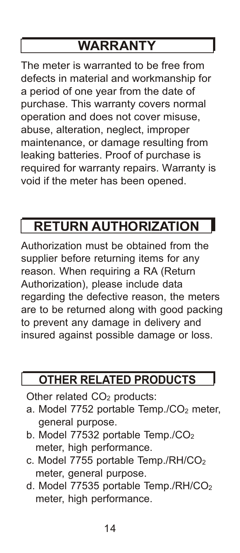# **WARRANTY**

The meter is warranted to be free from defects in material and workmanship for a period of one year from the date of purchase. This warranty covers normal operation and does not cover misuse, abuse, alteration, neglect, improper maintenance, or damage resulting from leaking batteries. Proof of purchase is required for warranty repairs. Warranty is void if the meter has been opened.

# **RETURN AUTHORIZATION**

Authorization must be obtained from the supplier before returning items for any reason. When requiring a RA (Return Authorization), please include data regarding the defective reason, the meters are to be returned along with good packing to prevent any damage in delivery and insured against possible damage or loss.

### **OTHER RELATED PRODUCTS**

Other related CO<sub>2</sub> products:

- a. Model  $7752$  portable Temp./ $CO<sub>2</sub>$  meter. general purpose.
- b. Model 77532 portable Temp./CO<sub>2</sub> meter, high performance.
- c. Model 7755 portable Temp./RH/CO<sub>2</sub> meter, general purpose.
- d. Model 77535 portable Temp./RH/CO<sub>2</sub> meter, high performance.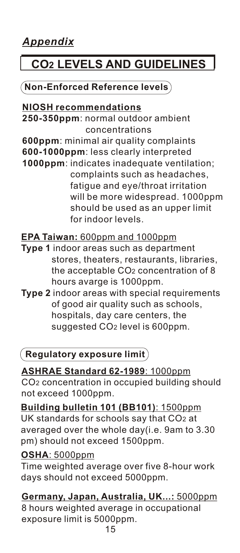# **CO2 LEVELS AND GUIDELINES**

#### **Non-Enforced Reference levels**

#### **NIOSH recommendations**

**250-350ppm**: normal outdoor ambient concentrations

**600ppm**: minimal air quality complaints **600-1000ppm**: less clearly interpreted

**1000ppm**: indicates inadequate ventilation; complaints such as headaches, fatigue and eye/throat irritation will be more widespread. 1000ppm should be used as an upper limit for indoor levels.

#### **EPA Taiwan:** 600ppm and 1000ppm

- **Type 1** indoor areas such as department stores, theaters, restaurants, libraries, the acceptable CO2 concentration of 8 hours avarge is 1000ppm.
- **Type 2** indoor areas with special requirements of good air quality such as schools, hospitals, day care centers, the suggested CO<sub>2</sub> level is 600ppm.

#### **Regulatory exposure limit**

**ASHRAE Standard 62-1989**: 1000ppm CO2 concentration in occupied building should not exceed 1000ppm.

**Building bulletin 101 (BB101)**: 1500ppm UK standards for schools say that CO2 at averaged over the whole day(i.e. 9am to 3.30 pm) should not exceed 1500ppm.

#### **OSHA**: 5000ppm

Time weighted average over five 8-hour work days should not exceed 5000ppm.

**Germany, Japan, Australia, UK...:** 5000ppm 8 hours weighted average in occupational exposure limit is 5000ppm.